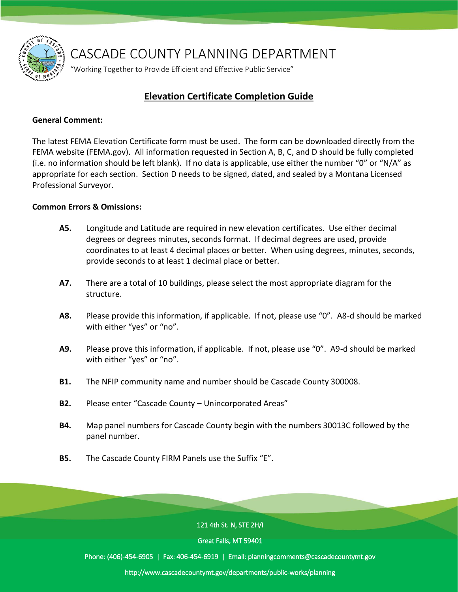

CASCADE COUNTY PLANNING DEPARTMENT

"Working Together to Provide Efficient and Effective Public Service"

## **Elevation Certificate Completion Guide**

#### **General Comment:**

The latest FEMA Elevation Certificate form must be used. The form can be downloaded directly from the FEMA website (FEMA.gov). All information requested in Section A, B, C, and D should be fully completed (i.e. no information should be left blank). If no data is applicable, use either the number "0" or "N/A" as appropriate for each section. Section D needs to be signed, dated, and sealed by a Montana Licensed Professional Surveyor.

### **Common Errors & Omissions:**

- **A5.** Longitude and Latitude are required in new elevation certificates. Use either decimal degrees or degrees minutes, seconds format. If decimal degrees are used, provide coordinates to at least 4 decimal places or better. When using degrees, minutes, seconds, provide seconds to at least 1 decimal place or better.
- **A7.** There are a total of 10 buildings, please select the most appropriate diagram for the structure.
- **A8.** Please provide this information, if applicable. If not, please use "0". A8-d should be marked with either "yes" or "no".
- **A9.** Please prove this information, if applicable. If not, please use "0". A9-d should be marked with either "yes" or "no".
- **B1.** The NFIP community name and number should be Cascade County 300008.
- **B2.** Please enter "Cascade County Unincorporated Areas"
- **B4.** Map panel numbers for Cascade County begin with the numbers 30013C followed by the panel number.
- **B5.** The Cascade County FIRM Panels use the Suffix "E".

121 4th St. N, STE 2H/I

Great Falls, MT 59401

Phone: (406)-454-6905 | Fax: 406-454-6919 | Email: planningcomments@cascadecountymt.gov

http://www.cascadecountymt.gov/departments/public-works/planning